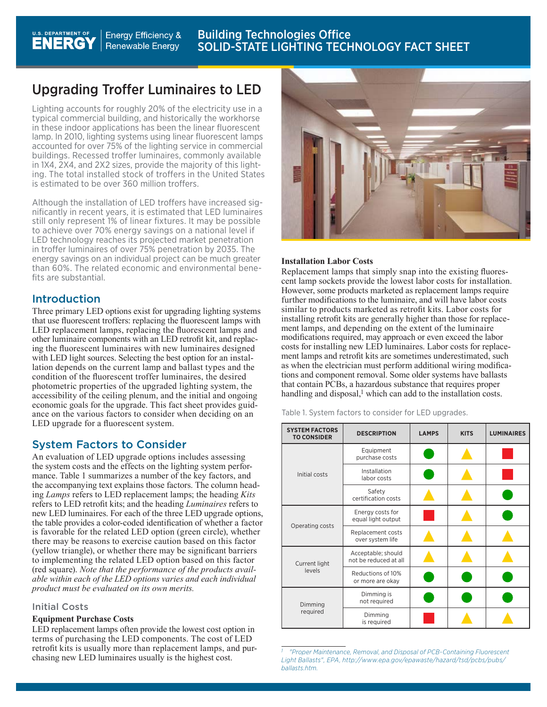#### Building Technologies Office U.S. DEPARTMENT OF **Energy Efficiency & ENERGY** SOLID-STATE LIGHTING TECHNOLOGY FACT SHEET**Renewable Energy**

## Upgrading Troffer Luminaires to LED

Lighting accounts for roughly 20% of the electricity use in a typical commercial building, and historically the workhorse in these indoor applications has been the linear fluorescent lamp. In 2010, lighting systems using linear fluorescent lamps accounted for over 75% of the lighting service in commercial buildings. Recessed troffer luminaires, commonly available in 1X4, 2X4, and 2X2 sizes, provide the majority of this lighting. The total installed stock of troffers in the United States is estimated to be over 360 million troffers.

Although the installation of LED troffers have increased significantly in recent years, it is estimated that LED luminaires still only represent 1% of linear fixtures. It may be possible to achieve over 70% energy savings on a national level if LED technology reaches its projected market penetration in troffer luminaires of over 75% penetration by 2035. The energy savings on an individual project can be much greater than 60%. The related economic and environmental benefits are substantial.

#### Introduction

Three primary LED options exist for upgrading lighting systems that use fluorescent troffers: replacing the fluorescent lamps with LED replacement lamps, replacing the fluorescent lamps and other luminaire components with an LED retrofit kit, and replacing the fluorescent luminaires with new luminaires designed with LED light sources. Selecting the best option for an installation depends on the current lamp and ballast types and the condition of the fluorescent troffer luminaires, the desired photometric properties of the upgraded lighting system, the accessibility of the ceiling plenum, and the initial and ongoing economic goals for the upgrade. This fact sheet provides guidance on the various factors to consider when deciding on an LED upgrade for a fluorescent system.

#### System Factors to Consider

An evaluation of LED upgrade options includes assessing the system costs and the effects on the lighting system performance. Table 1 summarizes a number of the key factors, and the accompanying text explains those factors. The column heading *Lamps* refers to LED replacement lamps; the heading *Kits* refers to LED retrofit kits; and the heading *Luminaires* refers to new LED luminaires. For each of the three LED upgrade options, the table provides a color-coded identification of whether a factor is favorable for the related LED option (green circle), whether there may be reasons to exercise caution based on this factor (yellow triangle), or whether there may be significant barriers to implementing the related LED option based on this factor (red square). *Note that the performance of the products available within each of the LED options varies and each individual product must be evaluated on its own merits.*

#### Initial Costs

#### **Equipment Purchase Costs**

LED replacement lamps often provide the lowest cost option in terms of purchasing the LED components. The cost of LED retrofit kits is usually more than replacement lamps, and purchasing new LED luminaires usually is the highest cost.



#### **Installation Labor Costs**

Replacement lamps that simply snap into the existing fluorescent lamp sockets provide the lowest labor costs for installation. However, some products marketed as replacement lamps require further modifications to the luminaire, and will have labor costs similar to products marketed as retrofit kits. Labor costs for installing retrofit kits are generally higher than those for replacement lamps, and depending on the extent of the luminaire modifications required, may approach or even exceed the labor costs for installing new LED luminaires. Labor costs for replacement lamps and retrofit kits are sometimes underestimated, such as when the electrician must perform additional wiring modifications and component removal. Some older systems have ballasts that contain PCBs, a hazardous substance that requires proper handling and disposal,<sup>1</sup> which can add to the installation costs.

Table 1. System factors to consider for LED upgrades.

| <b>SYSTEM FACTORS</b><br><b>TO CONSIDER</b> | <b>DESCRIPTION</b>                          | <b>LAMPS</b> | <b>KITS</b> | <b>LUMINAIRES</b> |
|---------------------------------------------|---------------------------------------------|--------------|-------------|-------------------|
| Initial costs                               | Equipment<br>purchase costs                 |              |             |                   |
|                                             | Installation<br>labor costs                 |              |             |                   |
|                                             | Safety<br>certification costs               |              |             |                   |
| Operating costs                             | Energy costs for<br>equal light output      |              |             |                   |
|                                             | Replacement costs<br>over system life       |              |             |                   |
| Current light<br>levels                     | Acceptable; should<br>not be reduced at all |              |             |                   |
|                                             | Reductions of 10%<br>or more are okay       |              |             |                   |
| Dimming<br>required                         | Dimming is<br>not required                  |              |             |                   |
|                                             | Dimming<br>is required                      |              |             |                   |

 *[<sup>&</sup>quot;Proper Maintenance, Removal, and Disposal of PCB-Containing Fluorescent](http://www.epa.gov/waste/hazard/tsd/pcbs/pubs/ballasts.htm)  [Light Ballasts", EPA,](http://www.epa.gov/waste/hazard/tsd/pcbs/pubs/ballasts.htm) http://www.epa.gov/epawaste/hazard/tsd/pcbs/pubs/ ballasts.htm.*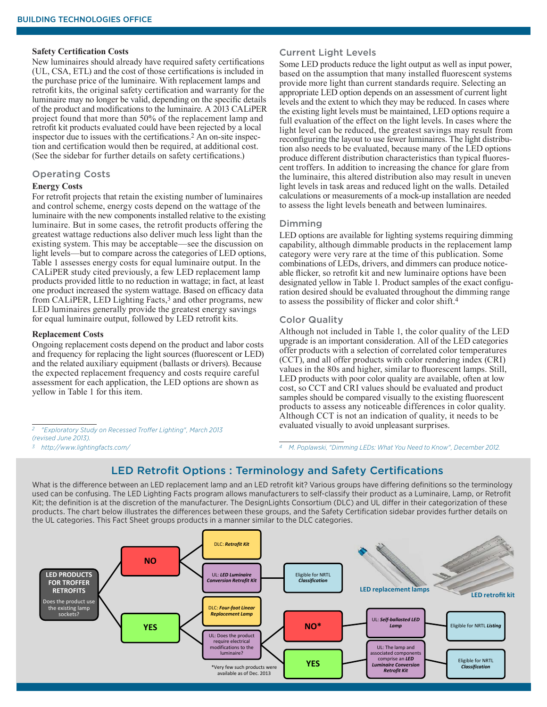#### **Safety Certification Costs**

New luminaires should already have required safety certifications (UL, CSA, ETL) and the cost of those certifications is included in the purchase price of the luminaire. With replacement lamps and retrofit kits, the original safety certification and warranty for the luminaire may no longer be valid, depending on the specific details of the product and modifications to the luminaire. A 2013 CALiPER project found that more than 50% of the replacement lamp and retrofit kit products evaluated could have been rejected by a local inspector due to issues with the certifications.2 An on-site inspection and certification would then be required, at additional cost. (See the sidebar for further details on safety certifications.)

#### Operating Costs

#### **Energy Costs**

For retrofit projects that retain the existing number of luminaires and control scheme, energy costs depend on the wattage of the luminaire with the new components installed relative to the existing luminaire. But in some cases, the retrofit products offering the greatest wattage reductions also deliver much less light than the existing system. This may be acceptable—see the discussion on light levels—but to compare across the categories of LED options, Table 1 assesses energy costs for equal luminaire output. In the CALiPER study cited previously, a few LED replacement lamp products provided little to no reduction in wattage; in fact, at least one product increased the system wattage. Based on efficacy data from CALiPER, LED Lighting Facts,<sup>3</sup> and other programs, new LED luminaires generally provide the greatest energy savings for equal luminaire output, followed by LED retrofit kits.

#### **Replacement Costs**

Ongoing replacement costs depend on the product and labor costs and frequency for replacing the light sources (fluorescent or LED) and the related auxiliary equipment (ballasts or drivers). Because the expected replacement frequency and costs require careful assessment for each application, the LED options are shown as yellow in Table 1 for this item.

*[2 "Exploratory Study on Recessed Troffer Lighting", March 2013](http://apps1.eere.energy.gov/buildings/publications/pdfs/ssl/caliper_recessed-troffer_2013.pdf)  [\(revised June 2013\).](http://apps1.eere.energy.gov/buildings/publications/pdfs/ssl/caliper_recessed-troffer_2013.pdf)*

*[3 http://www.lightingfacts.com/](http://www.lightingfacts.com/)*

#### Current Light Levels

Some LED products reduce the light output as well as input power, based on the assumption that many installed fluorescent systems provide more light than current standards require. Selecting an appropriate LED option depends on an assessment of current light levels and the extent to which they may be reduced. In cases where the existing light levels must be maintained, LED options require a full evaluation of the effect on the light levels. In cases where the light level can be reduced, the greatest savings may result from reconfiguring the layout to use fewer luminaires. The light distribution also needs to be evaluated, because many of the LED options produce different distribution characteristics than typical fluorescent troffers. In addition to increasing the chance for glare from the luminaire, this altered distribution also may result in uneven light levels in task areas and reduced light on the walls. Detailed calculations or measurements of a mock-up installation are needed to assess the light levels beneath and between luminaires.

#### Dimming

LED options are available for lighting systems requiring dimming capability, although dimmable products in the replacement lamp category were very rare at the time of this publication. Some combinations of LEDs, drivers, and dimmers can produce noticeable flicker, so retrofit kit and new luminaire options have been designated yellow in Table 1. Product samples of the exact configuration desired should be evaluated throughout the dimming range to assess the possibility of flicker and color shift.4

#### Color Quality

Although not included in Table 1, the color quality of the LED upgrade is an important consideration. All of the LED categories offer products with a selection of correlated color temperatures (CCT), and all offer products with color rendering index (CRI) values in the 80s and higher, similar to fluorescent lamps. Still, LED products with poor color quality are available, often at low cost, so CCT and CRI values should be evaluated and product samples should be compared visually to the existing fluorescent products to assess any noticeable differences in color quality. Although CCT is not an indication of quality, it needs to be evaluated visually to avoid unpleasant surprises.

*[4 M. Poplawski, "Dimming LEDs: What You Need to Know", December 2012.](http://apps1.eere.energy.gov/buildings/publications/pdfs/ssl/dimming_webcast_12-10-2012.pdf)*

#### LED Retrofit Options : Terminology and Safety Certifications

What is the difference between an LED replacement lamp and an LED retrofit kit? Various groups have differing definitions so the terminology used can be confusing. The LED Lighting Facts program allows manufacturers to self-classify their product as a Luminaire, Lamp, or Retrofit Kit; the definition is at the discretion of the manufacturer. The DesignLights Consortium (DLC) and UL differ in their categorization of these products. The chart below illustrates the differences between these groups, and the Safety Certification sidebar provides further details on the UL categories. This Fact Sheet groups products in a manner similar to the DLC categories.

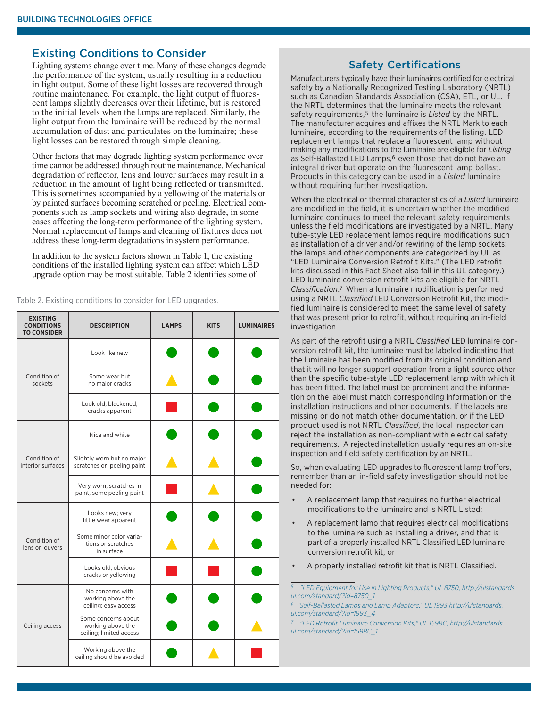### Existing Conditions to Consider

Lighting systems change over time. Many of these changes degrade the performance of the system, usually resulting in a reduction in light output. Some of these light losses are recovered through routine maintenance. For example, the light output of fluorescent lamps slightly decreases over their lifetime, but is restored to the initial levels when the lamps are replaced. Similarly, the light output from the luminaire will be reduced by the normal accumulation of dust and particulates on the luminaire; these light losses can be restored through simple cleaning.

Other factors that may degrade lighting system performance over time cannot be addressed through routine maintenance. Mechanical degradation of reflector, lens and louver surfaces may result in a reduction in the amount of light being reflected or transmitted. This is sometimes accompanied by a yellowing of the materials or by painted surfaces becoming scratched or peeling. Electrical components such as lamp sockets and wiring also degrade, in some cases affecting the long-term performance of the lighting system. Normal replacement of lamps and cleaning of fixtures does not address these long-term degradations in system performance.

In addition to the system factors shown in Table 1, the existing conditions of the installed lighting system can affect which LED upgrade option may be most suitable. Table 2 identifies some of

Table 2. Existing conditions to consider for LED upgrades.

| <b>EXISTING</b><br><b>CONDITIONS</b><br><b>TO CONSIDER</b> | <b>DESCRIPTION</b>                                                  | <b>LAMPS</b> | <b>KITS</b> | <b>LUMINAIRES</b> |
|------------------------------------------------------------|---------------------------------------------------------------------|--------------|-------------|-------------------|
| Condition of<br>sockets                                    | Look like new                                                       |              |             |                   |
|                                                            | Some wear but<br>no major cracks                                    |              |             |                   |
|                                                            | Look old, blackened,<br>cracks apparent                             |              |             |                   |
| Condition of<br>interior surfaces                          | Nice and white                                                      |              |             |                   |
|                                                            | Slightly worn but no major<br>scratches or peeling paint            |              |             |                   |
|                                                            | Very worn, scratches in<br>paint, some peeling paint                |              |             |                   |
| Condition of<br>lens or louvers                            | Looks new; very<br>little wear apparent                             |              |             |                   |
|                                                            | Some minor color varia-<br>tions or scratches<br>in surface         |              |             |                   |
|                                                            | Looks old, obvious<br>cracks or yellowing                           |              |             |                   |
| Ceiling access                                             | No concerns with<br>working above the<br>ceiling; easy access       |              |             |                   |
|                                                            | Some concerns about<br>working above the<br>ceiling; limited access |              |             |                   |
|                                                            | Working above the<br>ceiling should be avoided                      |              |             |                   |

#### Safety Certifications

Manufacturers typically have their luminaires certified for electrical safety by a Nationally Recognized Testing Laboratory (NRTL) such as Canadian Standards Association (CSA), ETL, or UL. If the NRTL determines that the luminaire meets the relevant safety requirements,<sup>5</sup> the luminaire is *Listed* by the NRTL. The manufacturer acquires and affixes the NRTL Mark to each luminaire, according to the requirements of the listing. LED replacement lamps that replace a fluorescent lamp without making any modifications to the luminaire are eligible for *Listing* as Self-Ballasted LED Lamps,<sup>6</sup> even those that do not have an integral driver but operate on the fluorescent lamp ballast. Products in this category can be used in a *Listed* luminaire without requiring further investigation.

When the electrical or thermal characteristics of a *Listed* luminaire are modified in the field, it is uncertain whether the modified luminaire continues to meet the relevant safety requirements unless the field modifications are investigated by a NRTL. Many tube-style LED replacement lamps require modifications such as installation of a driver and/or rewiring of the lamp sockets; the lamps and other components are categorized by UL as "LED Luminaire Conversion Retrofit Kits." (The LED retrofit kits discussed in this Fact Sheet also fall in this UL category.) LED luminaire conversion retrofit kits are eligible for NRTL *Classification*.7 When a luminaire modification is performed using a NRTL *Classified* LED Conversion Retrofit Kit, the modified luminaire is considered to meet the same level of safety that was present prior to retrofit, without requiring an in-field investigation.

As part of the retrofit using a NRTL *Classified* LED luminaire conversion retrofit kit, the luminaire must be labeled indicating that the luminaire has been modified from its original condition and that it will no longer support operation from a light source other than the specific tube-style LED replacement lamp with which it has been fitted. The label must be prominent and the information on the label must match corresponding information on the installation instructions and other documents. If the labels are missing or do not match other documentation, or if the LED product used is not NRTL *Classified*, the local inspector can reject the installation as non-compliant with electrical safety requirements. A rejected installation usually requires an on-site inspection and field safety certification by an NRTL.

So, when evaluating LED upgrades to fluorescent lamp troffers, remember than an in-field safety investigation should not be needed for:

- A replacement lamp that requires no further electrical modifications to the luminaire and is NRTL Listed;
- A replacement lamp that requires electrical modifications to the luminaire such as installing a driver, and that is part of a properly installed NRTL Classified LED luminaire conversion retrofit kit; or
- A properly installed retrofit kit that is NRTL Classified.

*5 ["LED Equipment for Use in Lighting Products," UL 8750](http://ulstandardsinfonet.ul.com/scopes/scopes.asp%3Ffn%3D8750.html), http://ulstandards. ul.com/standard/?id=8750\_1* 

*6 ["Self-Ballasted Lamps and Lamp Adapters," UL 1993,h](http://ulstandardsinfonet.ul.com/scopes/scopes.asp%3Ffn%3D1993.html)ttp://ulstandards. ul.com/standard/?id=1993\_4*

*[7 "LED Retrofit Luminaire Conversion Kits," UL 1598C,](http://ulstandardsinfonet.ul.com/outscope/outscope.asp%3Ffn%3D1598C.html) http://ulstandards. ul.com/standard/?id=1598C\_1*